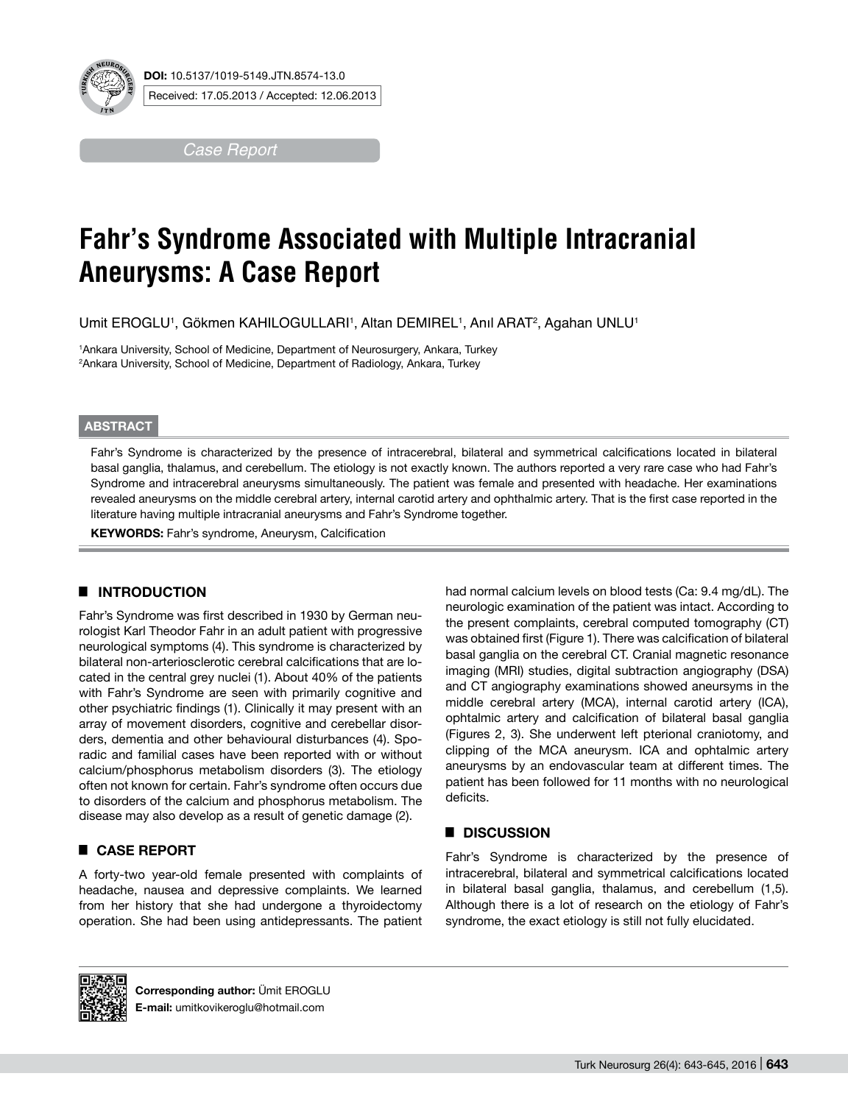

*Case Report* 

# **Fahr's Syndrome Associated with Multiple Intracranial Aneurysms: A Case Report**

Umit EROGLU', Gökmen KAHILOGULLARI', Altan DEMIREL', Anıl ARAT<sup>2</sup>, Agahan UNLU'

1 Ankara University, School of Medicine, Department of Neurosurgery, Ankara, Turkey 2 Ankara University, School of Medicine, Department of Radiology, Ankara, Turkey

#### **ABSTRACT**

Fahr's Syndrome is characterized by the presence of intracerebral, bilateral and symmetrical calcifications located in bilateral basal ganglia, thalamus, and cerebellum. The etiology is not exactly known. The authors reported a very rare case who had Fahr's Syndrome and intracerebral aneurysms simultaneously. The patient was female and presented with headache. Her examinations revealed aneurysms on the middle cerebral artery, internal carotid artery and ophthalmic artery. That is the first case reported in the literature having multiple intracranial aneurysms and Fahr's Syndrome together.

**Keywords:** Fahr's syndrome, Aneurysm, Calcification

# █ **INTRODUCTION**

Fahr's Syndrome was first described in 1930 by German neurologist Karl Theodor Fahr in an adult patient with progressive neurological symptoms (4). This syndrome is characterized by bilateral non-arteriosclerotic cerebral calcifications that are located in the central grey nuclei (1). About 40% of the patients with Fahr's Syndrome are seen with primarily cognitive and other psychiatric findings (1). Clinically it may present with an array of movement disorders, cognitive and cerebellar disorders, dementia and other behavioural disturbances (4). Sporadic and familial cases have been reported with or without calcium/phosphorus metabolism disorders (3). The etiology often not known for certain. Fahr's syndrome often occurs due to disorders of the calcium and phosphorus metabolism. The disease may also develop as a result of genetic damage (2).

# █ **CASE REPORT**

A forty-two year-old female presented with complaints of headache, nausea and depressive complaints. We learned from her history that she had undergone a thyroidectomy operation. She had been using antidepressants. The patient had normal calcium levels on blood tests (Ca: 9.4 mg/dL). The neurologic examination of the patient was intact. According to the present complaints, cerebral computed tomography (CT) was obtained first (Figure 1). There was calcification of bilateral basal ganglia on the cerebral CT. Cranial magnetic resonance imaging (MRI) studies, digital subtraction angiography (DSA) and CT angiography examinations showed aneursyms in the middle cerebral artery (MCA), internal carotid artery (ICA), ophtalmic artery and calcification of bilateral basal ganglia (Figures 2, 3). She underwent left pterional craniotomy, and clipping of the MCA aneurysm. ICA and ophtalmic artery aneurysms by an endovascular team at different times. The patient has been followed for 11 months with no neurological deficits.

## █ **DISCUSSION**

Fahr's Syndrome is characterized by the presence of intracerebral, bilateral and symmetrical calcifications located in bilateral basal ganglia, thalamus, and cerebellum (1,5). Although there is a lot of research on the etiology of Fahr's syndrome, the exact etiology is still not fully elucidated.



**Corresponding author:** Ümit EROGLU **E-mail:** umitkovikeroglu@hotmail.com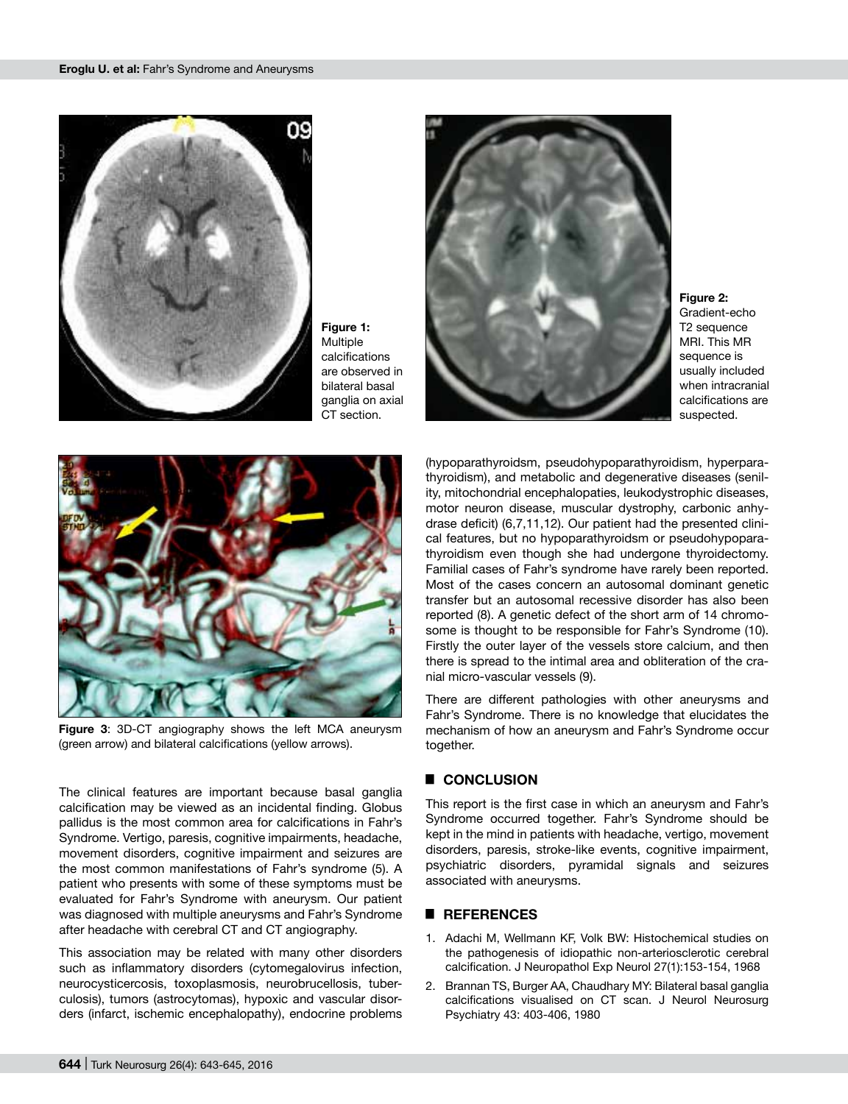

**Figure 1:**  Multiple calcifications are observed in bilateral basal ganglia on axial CT section.



**Figure 3**: 3D-CT angiography shows the left MCA aneurysm (green arrow) and bilateral calcifications (yellow arrows).

The clinical features are important because basal ganglia calcification may be viewed as an incidental finding. Globus pallidus is the most common area for calcifications in Fahr's Syndrome. Vertigo, paresis, cognitive impairments, headache, movement disorders, cognitive impairment and seizures are the most common manifestations of Fahr's syndrome (5). A patient who presents with some of these symptoms must be evaluated for Fahr's Syndrome with aneurysm. Our patient was diagnosed with multiple aneurysms and Fahr's Syndrome after headache with cerebral CT and CT angiography.

This association may be related with many other disorders such as inflammatory disorders (cytomegalovirus infection, neurocysticercosis, toxoplasmosis, neurobrucellosis, tuberculosis), tumors (astrocytomas), hypoxic and vascular disorders (infarct, ischemic encephalopathy), endocrine problems



**Figure 2:**  Gradient-echo T2 sequence MRI. This MR sequence is usually included when intracranial calcifications are suspected.

(hypoparathyroidsm, pseudohypoparathyroidism, hyperparathyroidism), and metabolic and degenerative diseases (senility, mitochondrial encephalopaties, leukodystrophic diseases, motor neuron disease, muscular dystrophy, carbonic anhydrase deficit) (6,7,11,12). Our patient had the presented clinical features, but no hypoparathyroidsm or pseudohypoparathyroidism even though she had undergone thyroidectomy. Familial cases of Fahr's syndrome have rarely been reported. Most of the cases concern an autosomal dominant genetic transfer but an autosomal recessive disorder has also been reported (8). A genetic defect of the short arm of 14 chromosome is thought to be responsible for Fahr's Syndrome (10). Firstly the outer layer of the vessels store calcium, and then there is spread to the intimal area and obliteration of the cranial micro-vascular vessels (9).

There are different pathologies with other aneurysms and Fahr's Syndrome. There is no knowledge that elucidates the mechanism of how an aneurysm and Fahr's Syndrome occur together.

## █ **CONCLUSION**

This report is the first case in which an aneurysm and Fahr's Syndrome occurred together. Fahr's Syndrome should be kept in the mind in patients with headache, vertigo, movement disorders, paresis, stroke-like events, cognitive impairment, psychiatric disorders, pyramidal signals and seizures associated with aneurysms.

#### █ **REFERENCES**

- 1. Adachi M, Wellmann KF, Volk BW: Histochemical studies on the pathogenesis of idiopathic non-arteriosclerotic cerebral calcification. J Neuropathol Exp Neurol 27(1):153-154, 1968
- 2. Brannan TS, Burger AA, Chaudhary MY: Bilateral basal ganglia calcifications visualised on CT scan. J Neurol Neurosurg Psychiatry 43: 403-406, 1980